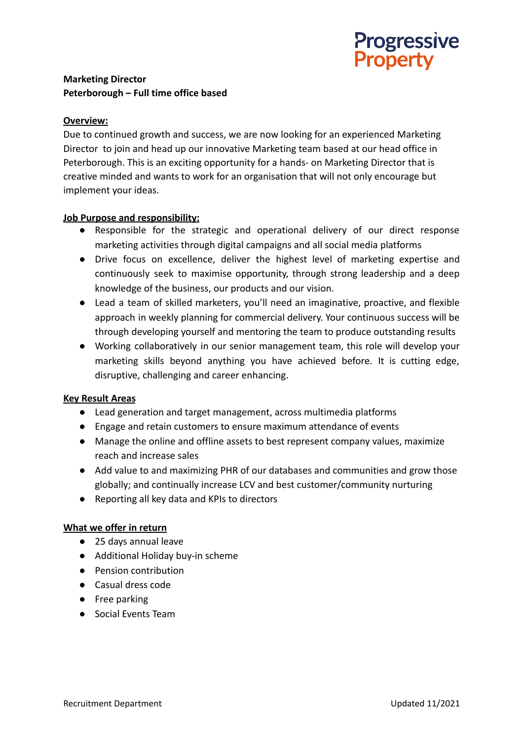

# **Marketing Director Peterborough – Full time office based**

## **Overview:**

Due to continued growth and success, we are now looking for an experienced Marketing Director to join and head up our innovative Marketing team based at our head office in Peterborough. This is an exciting opportunity for a hands- on Marketing Director that is creative minded and wants to work for an organisation that will not only encourage but implement your ideas.

### **Job Purpose and responsibility:**

- Responsible for the strategic and operational delivery of our direct response marketing activities through digital campaigns and all social media platforms
- Drive focus on excellence, deliver the highest level of marketing expertise and continuously seek to maximise opportunity, through strong leadership and a deep knowledge of the business, our products and our vision.
- Lead a team of skilled marketers, you'll need an imaginative, proactive, and flexible approach in weekly planning for commercial delivery. Your continuous success will be through developing yourself and mentoring the team to produce outstanding results
- Working collaboratively in our senior management team, this role will develop your marketing skills beyond anything you have achieved before. It is cutting edge, disruptive, challenging and career enhancing.

### **Key Result Areas**

- *●* Lead generation and target management, across multimedia platforms
- Engage and retain customers to ensure maximum attendance of events
- Manage the online and offline assets to best represent company values, maximize reach and increase sales
- Add value to and maximizing PHR of our databases and communities and grow those globally; and continually increase LCV and best customer/community nurturing
- Reporting all key data and KPIs to directors

### **What we offer in return**

- 25 days annual leave
- Additional Holiday buy-in scheme
- Pension contribution
- Casual dress code
- Free parking
- Social Events Team